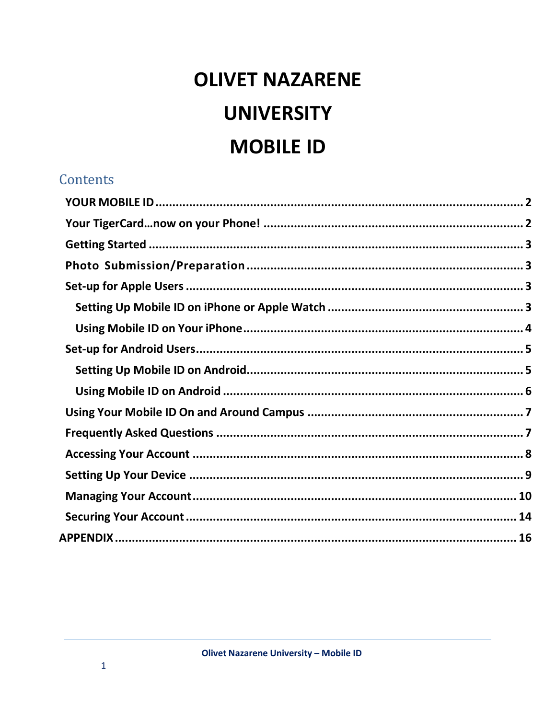# **OLIVET NAZARENE UNIVERSITY MOBILE ID**

#### **Contents**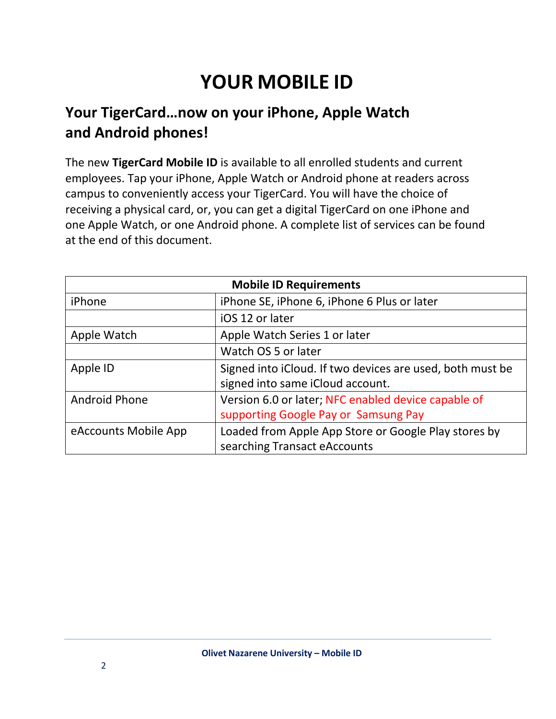## **YOUR MOBILE ID**

## <span id="page-1-1"></span><span id="page-1-0"></span>**Your TigerCard…now on your iPhone, Apple Watch and Android phones!**

The new **TigerCard Mobile ID** is available to all enrolled students and current employees. Tap your iPhone, Apple Watch or Android phone at readers across campus to conveniently access your TigerCard. You will have the choice of receiving a physical card, or, you can get a digital TigerCard on one iPhone and one Apple Watch, or one Android phone. A complete list of services can be found at the end of this document.

| <b>Mobile ID Requirements</b> |                                                                                               |  |
|-------------------------------|-----------------------------------------------------------------------------------------------|--|
| iPhone                        | iPhone SE, iPhone 6, iPhone 6 Plus or later                                                   |  |
|                               | iOS 12 or later                                                                               |  |
| Apple Watch                   | Apple Watch Series 1 or later                                                                 |  |
|                               | Watch OS 5 or later                                                                           |  |
| Apple ID                      | Signed into iCloud. If two devices are used, both must be<br>signed into same iCloud account. |  |
| Android Phone                 | Version 6.0 or later; NFC enabled device capable of<br>supporting Google Pay or Samsung Pay   |  |
| eAccounts Mobile App          | Loaded from Apple App Store or Google Play stores by<br>searching Transact eAccounts          |  |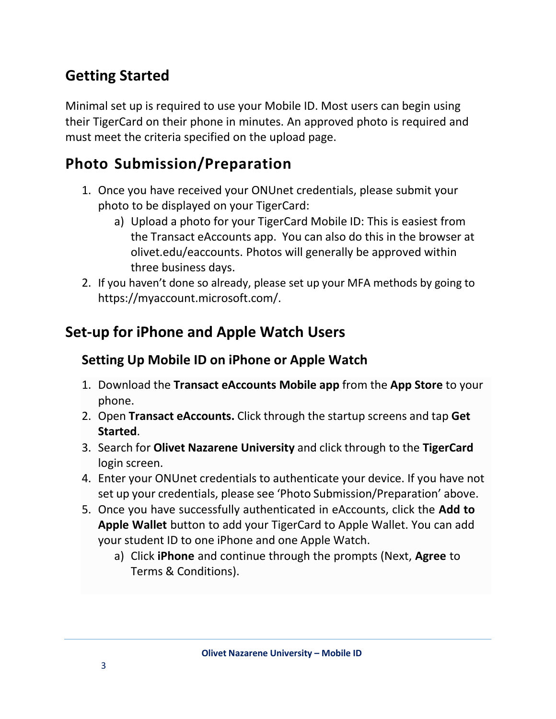## <span id="page-2-0"></span>**Getting Started**

Minimal set up is required to use your Mobile ID. Most users can begin using their TigerCard on their phone in minutes. An approved photo is required and must meet the criteria specified on the upload page.

## <span id="page-2-1"></span>**Photo Submission/Preparation**

- 1. Once you have received your ONUnet credentials, please submit your photo to be displayed on your TigerCard:
	- a) Upload a photo for your TigerCard Mobile ID: This is easiest from the Transact eAccounts app. You can also do this in the browser at olivet.edu/eaccounts. Photos will generally be approved within three business days.
- 2. If you haven't done so already, please set up your MFA methods by going to https://myaccount.microsoft.com/.

## <span id="page-2-3"></span><span id="page-2-2"></span>**Set-up for iPhone and Apple Watch Users**

#### **Setting Up Mobile ID on iPhone or Apple Watch**

- 1. Download the **Transact [eAccounts Mobile a](https://itunes.apple.com/us/app/eaccounts-mobile/id559541502?mt=8)pp** from the **App Store** to your phone.
- 2. Open **Transact eAccounts.** Click through the startup screens and tap **Get Started**.
- 3. Search for **Olivet Nazarene University** and click through to the **TigerCard** login screen.
- 4. Enter your ONUnet credentials to authenticate your device. If you have not set up your credentials, please see 'Photo Submission/Preparation' above.
- 5. Once you have successfully authenticated in eAccounts, click the **Add to Apple Wallet** button to add your TigerCard to Apple Wallet. You can add your student ID to one iPhone and one Apple Watch.
	- a) Click **iPhone** and continue through the prompts (Next, **Agree** to Terms & Conditions).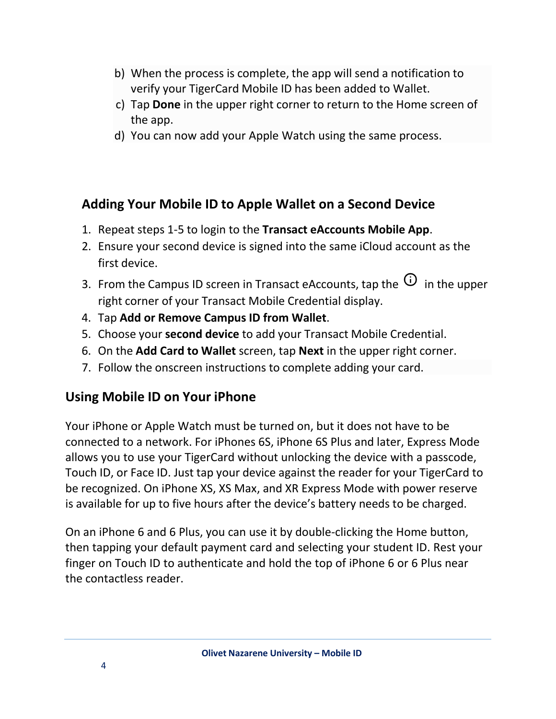- b) When the process is complete, the app will send a notification to verify your TigerCard Mobile ID has been added to Wallet.
- c) Tap **Done** in the upper right corner to return to the Home screen of the app.
- d) You can now add your Apple Watch using the same process.

#### **Adding Your Mobile ID to Apple Wallet on a Second Device**

- 1. Repeat steps 1-5 to login to the **Transact eAccounts Mobile App**.
- 2. Ensure your second device is signed into the same iCloud account as the first device.
- 3. From the Campus ID screen in Transact eAccounts, tap the  $\overline{\omega}$  in the upper right corner of your Transact Mobile Credential display.
- 4. Tap **Add or Remove Campus ID from Wallet**.
- 5. Choose your **second device** to add your Transact Mobile Credential.
- 6. On the **Add Card to Wallet** screen, tap **Next** in the upper right corner.
- 7. Follow the onscreen instructions to complete adding your card.

#### <span id="page-3-0"></span>**Using Mobile ID on Your iPhone**

Your iPhone or Apple Watch must be turned on, but it does not have to be connected to a network. For iPhones 6S, iPhone 6S Plus and later, Express Mode allows you to use your TigerCard without unlocking the device with a passcode, Touch ID, or Face ID. Just tap your device against the reader for your TigerCard to be recognized. On iPhone XS, XS Max, and XR Express Mode with power reserve is available for up to five hours after the device's battery needs to be charged.

On an iPhone 6 and 6 Plus, you can use it by double-clicking the Home button, then tapping your default payment card and selecting your student ID. Rest your finger on Touch ID to authenticate and hold the top of iPhone 6 or 6 Plus near the contactless reader.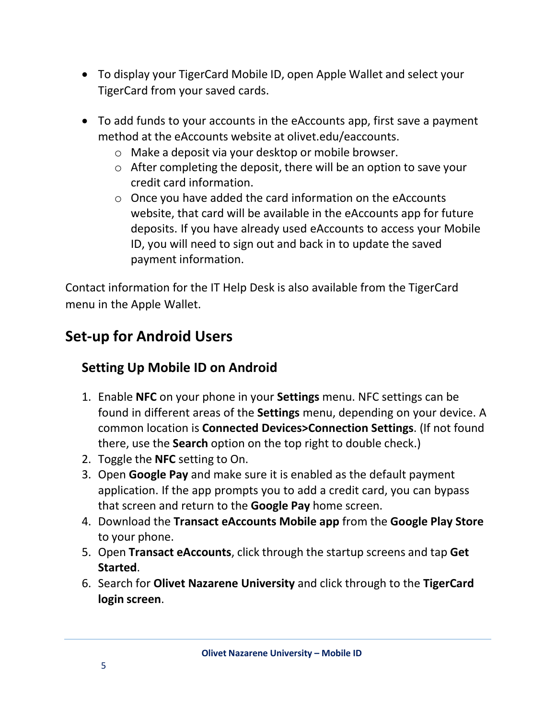- To display your TigerCard Mobile ID, open Apple Wallet and select your TigerCard from your saved cards.
- To add funds to your accounts in the eAccounts app, first save a payment method at the eAccounts website at olivet.edu/eaccounts.
	- o Make a deposit via your desktop or mobile browser.
	- o After completing the deposit, there will be an option to save your credit card information.
	- o Once you have added the card information on the eAccounts website, that card will be available in the eAccounts app for future deposits. If you have already used eAccounts to access your Mobile ID, you will need to sign out and back in to update the saved payment information.

Contact information for the IT Help Desk is also available from the TigerCard menu in the Apple Wallet.

## <span id="page-4-1"></span><span id="page-4-0"></span>**Set-up for Android Users**

## **Setting Up Mobile ID on Android**

- 1. Enable **NFC** on your phone in your **Settings** menu. NFC settings can be found in different areas of the **Settings** menu, depending on your device. A common location is **Connected Devices>Connection Settings**. (If not found there, use the **Search** option on the top right to double check.)
- 2. Toggle the **NFC** setting to On.
- 3. Open **Google Pay** and make sure it is enabled as the default payment application. If the app prompts you to add a credit card, you can bypass that screen and return to the **Google Pay** home screen.
- 4. Download the **Transact eAccounts Mobile app** from the **Google Play Store** to your phone.
- 5. Open **Transact eAccounts**, click through the startup screens and tap **Get Started**.
- 6. Search for **Olivet Nazarene University** and click through to the **TigerCard login screen**.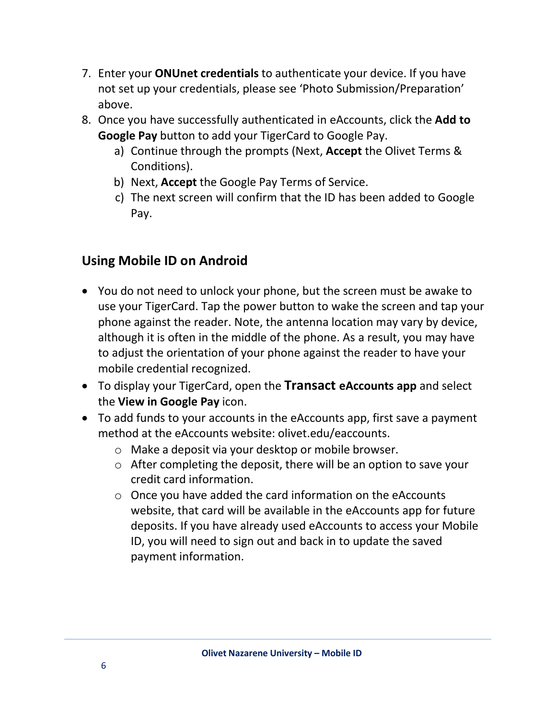- 7. Enter your **ONUnet credentials** to authenticate your device. If you have not set up your credentials, please see 'Photo Submission/Preparation' above.
- 8. Once you have successfully authenticated in eAccounts, click the **Add to Google Pay** button to add your TigerCard to Google Pay.
	- a) Continue through the prompts (Next, **Accept** the Olivet Terms & Conditions).
	- b) Next, **Accept** the Google Pay Terms of Service.
	- c) The next screen will confirm that the ID has been added to Google Pay.

#### <span id="page-5-0"></span>**Using Mobile ID on Android**

- You do not need to unlock your phone, but the screen must be awake to use your TigerCard. Tap the power button to wake the screen and tap your phone against the reader. Note, the antenna location may vary by device, although it is often in the middle of the phone. As a result, you may have to adjust the orientation of your phone against the reader to have your mobile credential recognized.
- To display your TigerCard, open the **Transact eAccounts app** and select the **View in Google Pay** icon.
- To add funds to your accounts in the eAccounts app, first save a payment method at the eAccounts website: olivet.edu/eaccounts.
	- o Make a deposit via your desktop or mobile browser.
	- o After completing the deposit, there will be an option to save your credit card information.
	- o Once you have added the card information on the eAccounts website, that card will be available in the eAccounts app for future deposits. If you have already used eAccounts to access your Mobile ID, you will need to sign out and back in to update the saved payment information.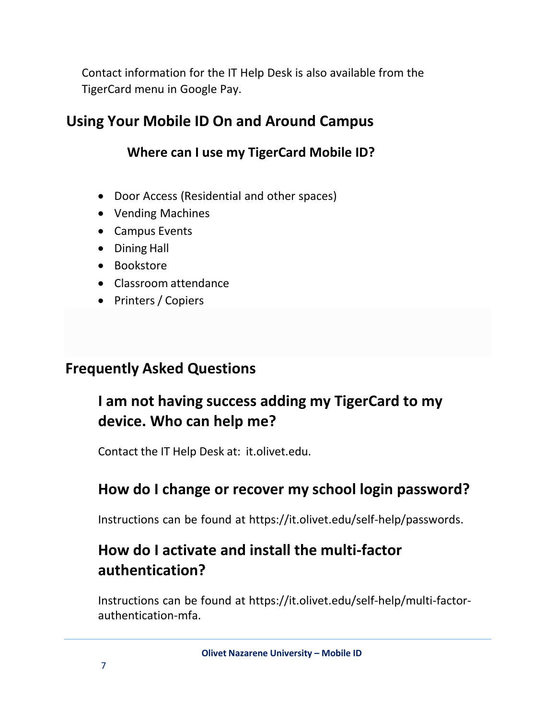Contact information for the IT Help Desk is also available from the TigerCard menu in Google Pay.

## <span id="page-6-0"></span>**Using Your Mobile ID On and Around Campus**

#### **Where can I use my TigerCard Mobile ID?**

- Door Access (Residential and other spaces)
- Vending Machines
- Campus Events
- Dining Hall
- Bookstore
- Classroom attendance
- Printers / Copiers

#### <span id="page-6-1"></span>**Frequently Asked Questions**

## **I am not having success adding my TigerCard to my device. Who can help me?**

Contact the IT Help Desk at: it.olivet.edu.

## **How do I change or recover my school login password?**

Instructions can be found at https://it.olivet.edu/self-help/passwords.

## **How do I activate and install the multi-factor authentication?**

Instructions can be found at https://it.olivet.edu/self-help/multi-factorauthentication-mfa.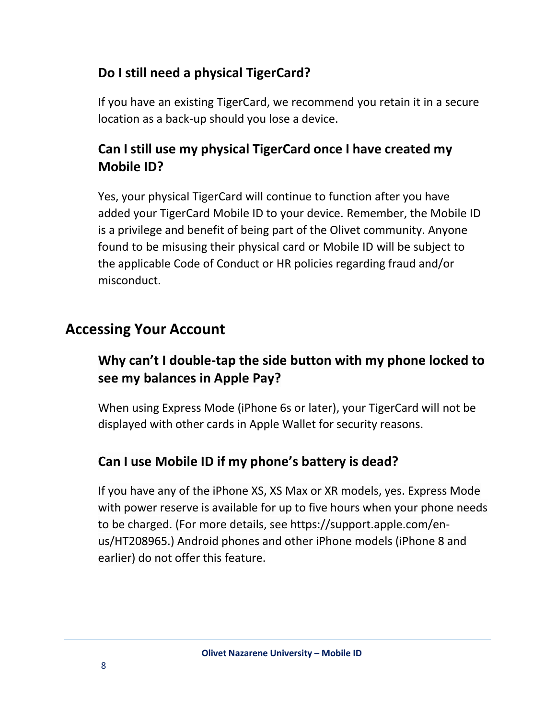#### **Do I still need a physical TigerCard?**

If you have an existing TigerCard, we recommend you retain it in a secure location as a back-up should you lose a device.

#### **Can Istill use my physical TigerCard once I have created my Mobile ID?**

Yes, your physical TigerCard will continue to function after you have added your TigerCard Mobile ID to your device. Remember, the Mobile ID is a privilege and benefit of being part of the Olivet community. Anyone found to be misusing their physical card or Mobile ID will be subject to the applicable Code of Conduct or HR policies regarding fraud and/or misconduct.

## <span id="page-7-0"></span>**Accessing Your Account**

#### **Why can't I double-tap the side button with my phone locked to see my balances in Apple Pay?**

When using Express Mode (iPhone 6s or later), your TigerCard will not be displayed with other cards in Apple Wallet for security reasons.

#### **Can I use Mobile ID if my phone's battery is dead?**

If you have any of the iPhone XS, XS Max or XR models, yes. Express Mode with power reserve is available for up to five hours when your phone needs to be charged. (For more details, see https://support.apple.com/enus/HT208965.) Android phones and other iPhone models (iPhone 8 and earlier) do not offer this feature.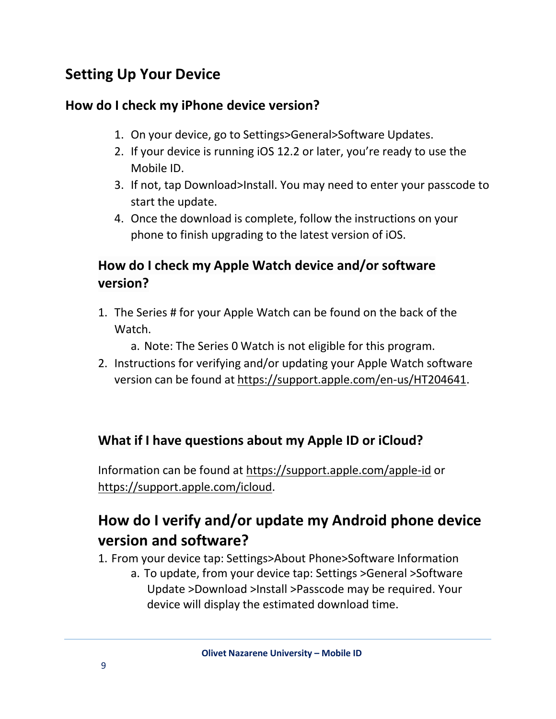## <span id="page-8-0"></span>**Setting Up Your Device**

#### **How do I check my iPhone device version?**

- 1. On your device, go to Settings>General>Software Updates.
- 2. If your device is running iOS 12.2 or later, you're ready to use the Mobile ID.
- 3. If not, tap Download>Install. You may need to enter your passcode to start the update.
- 4. Once the download is complete, follow the instructions on your phone to finish upgrading to the latest version of iOS.

#### **How do I check my Apple Watch device and/or software version?**

1. The Series # for your Apple Watch can be found on the back of the Watch.

a. Note: The Series 0 Watch is not eligible for this program.

2. Instructions for verifying and/or updating your Apple Watch software version can be found at [https://support.apple.com/en-us/HT204641.](https://support.apple.com/en-us/HT204641)

#### **What if I have questions about my Apple ID or iCloud?**

Information can be found at<https://support.apple.com/apple-id> or [https://support.apple.com/icloud.](https://support.apple.com/icloud)

## **How do I verify and/or update my Android phone device version and software?**

1. From your device tap: Settings>About Phone>Software Information

a. To update, from your device tap: Settings >General >Software Update >Download >Install >Passcode may be required. Your device will display the estimated download time.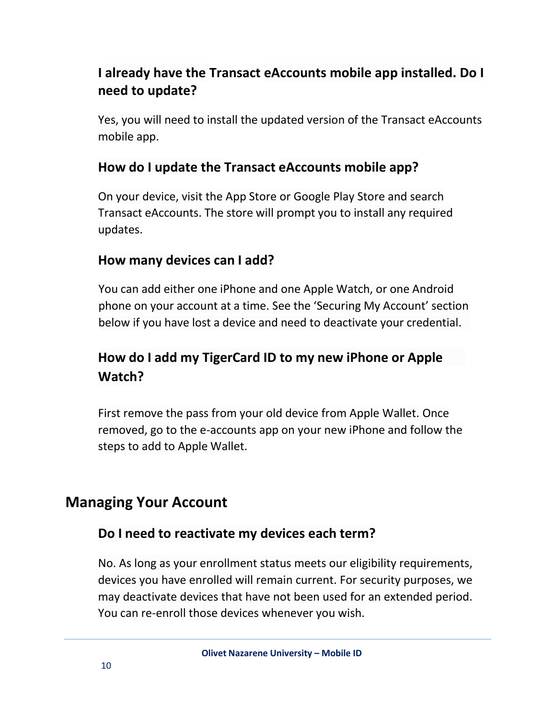#### **I already have the Transact eAccounts mobile app installed. Do I need to update?**

Yes, you will need to install the updated version of the Transact eAccounts mobile app.

#### **How do I update the Transact eAccounts mobile app?**

On your device, visit the App Store or Google Play Store and search Transact eAccounts. The store will prompt you to install any required updates.

#### **How many devices can I add?**

You can add either one iPhone and one Apple Watch, or one Android phone on your account at a time. See the 'Securing My Account' section below if you have lost a device and need to deactivate your credential.

#### **How do I add my TigerCard ID to my new iPhone or Apple Watch?**

First remove the pass from your old device from Apple Wallet. Once removed, go to the e-accounts app on your new iPhone and follow the steps to add to Apple Wallet.

#### <span id="page-9-0"></span>**Managing Your Account**

#### **Do I need to reactivate my devices each term?**

No. As long as your enrollment status meets our eligibility requirements, devices you have enrolled will remain current. For security purposes, we may deactivate devices that have not been used for an extended period. You can re-enroll those devices whenever you wish.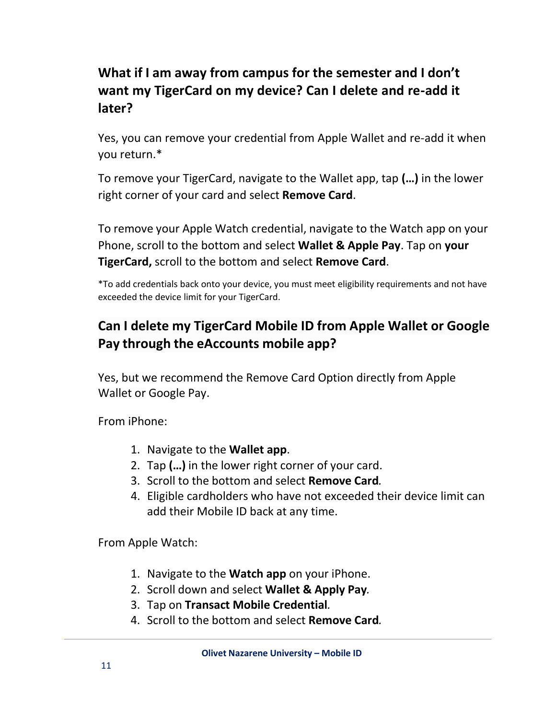#### **What if I am away from campus for the semester and I don't want my TigerCard on my device? Can I delete and re-add it later?**

Yes, you can remove your credential from Apple Wallet and re-add it when you return.\*

To remove your TigerCard, navigate to the Wallet app, tap **(…)** in the lower right corner of your card and select **Remove Card**.

To remove your Apple Watch credential, navigate to the Watch app on your Phone, scroll to the bottom and select **Wallet & Apple Pay**. Tap on **your TigerCard,** scroll to the bottom and select **Remove Card**.

\*To add credentials back onto your device, you must meet eligibility requirements and not have exceeded the device limit for your TigerCard.

#### **Can I delete my TigerCard Mobile ID from Apple Wallet or Google Pay through the eAccounts mobile app?**

Yes, but we recommend the Remove Card Option directly from Apple Wallet or Google Pay.

From iPhone:

- 1. Navigate to the **Wallet app**.
- 2. Tap **(…)** in the lower right corner of your card.
- 3. Scroll to the bottom and select **Remove Card***.*
- 4. Eligible cardholders who have not exceeded their device limit can add their Mobile ID back at any time.

From Apple Watch:

- 1. Navigate to the **Watch app** on your iPhone.
- 2. Scroll down and select **Wallet & Apply Pay***.*
- 3. Tap on **Transact Mobile Credential***.*
- 4. Scroll to the bottom and select **Remove Card***.*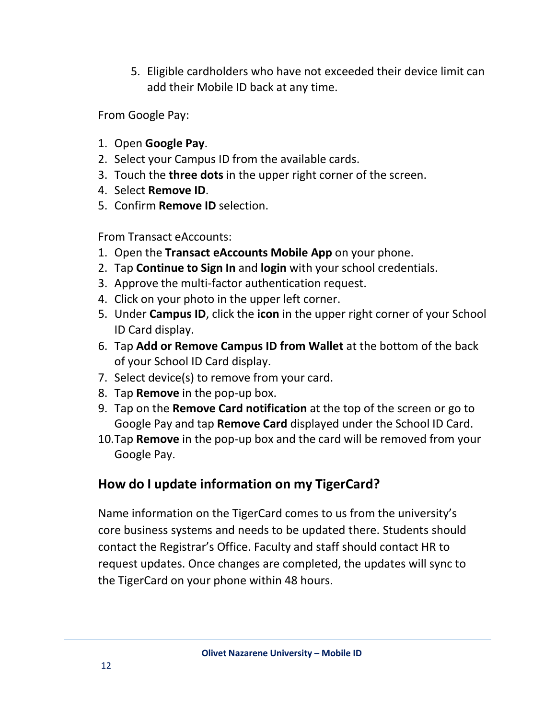5. Eligible cardholders who have not exceeded their device limit can add their Mobile ID back at any time.

From Google Pay:

- 1. Open **Google Pay**.
- 2. Select your Campus ID from the available cards.
- 3. Touch the **three dots** in the upper right corner of the screen.
- 4. Select **Remove ID**.
- 5. Confirm **Remove ID** selection.

From Transact eAccounts:

- 1. Open the **Transact eAccounts Mobile App** on your phone.
- 2. Tap **Continue to Sign In** and **login** with your school credentials.
- 3. Approve the multi-factor authentication request.
- 4. Click on your photo in the upper left corner.
- 5. Under **Campus ID**, click the **icon** in the upper right corner of your School ID Card display.
- 6. Tap **Add or Remove Campus ID from Wallet** at the bottom of the back of your School ID Card display.
- 7. Select device(s) to remove from your card.
- 8. Tap **Remove** in the pop-up box.
- 9. Tap on the **Remove Card notification** at the top of the screen or go to Google Pay and tap **Remove Card** displayed under the School ID Card.
- 10.Tap **Remove** in the pop-up box and the card will be removed from your Google Pay.

#### **How do I update information on my TigerCard?**

Name information on the TigerCard comes to us from the university's core business systems and needs to be updated there. Students should contact the Registrar's Office. Faculty and staff should contact HR to request updates. Once changes are completed, the updates will sync to the TigerCard on your phone within 48 hours.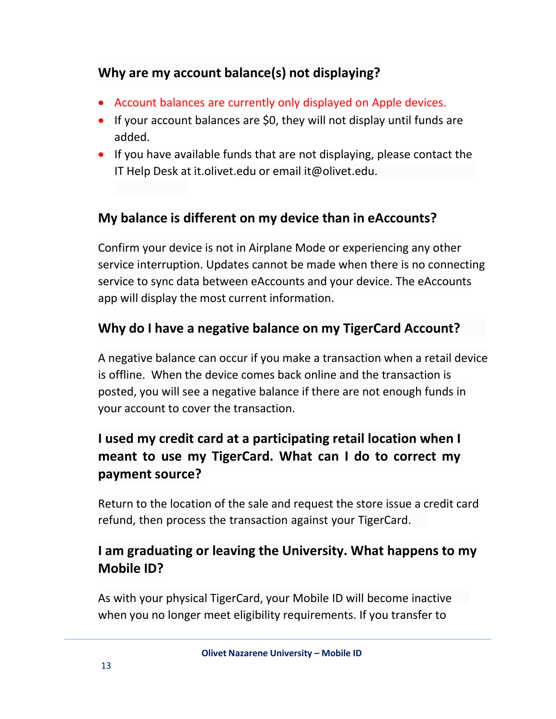#### **Why are my account balance(s) not displaying?**

- Account balances are currently only displayed on Apple devices.
- If your account balances are \$0, they will not display until funds are added.
- If you have available funds that are not displaying, please contact the IT Help Desk at it.olivet.edu or email [it@olivet.edu.](mailto:it.olivet.eduoremailit@olivet.edu)

#### **My balance is different on my device than in eAccounts?**

Confirm your device is not in Airplane Mode or experiencing any other service interruption. Updates cannot be made when there is no connecting service to sync data between eAccounts and your device. The eAccounts app will display the most current information.

#### **Why do I have a negative balance on my TigerCard Account?**

A negative balance can occur if you make a transaction when a retail device is offline. When the device comes back online and the transaction is posted, you will see a negative balance if there are not enough funds in your account to cover the transaction.

#### **I used my credit card at a participating retail location when I meant to use my TigerCard. What can I do to correct my payment source?**

Return to the location of the sale and request the store issue a credit card refund, then process the transaction against your TigerCard.

#### **I am graduating or leaving the University. What happens to my Mobile ID?**

As with your physical TigerCard, your Mobile ID will become inactive when you no longer meet eligibility requirements. If you transfer to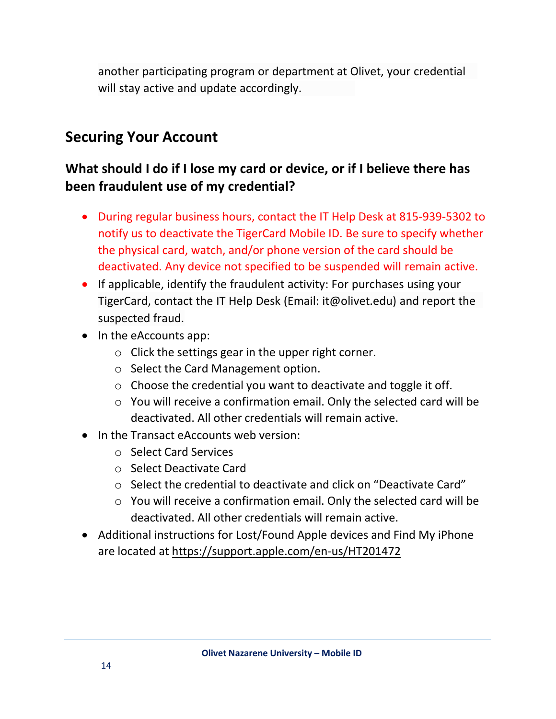another participating program or department at Olivet, your credential will stay active and update accordingly.

#### <span id="page-13-0"></span>**Securing Your Account**

#### **What should I do if I lose my card or device, or if I believe there has been fraudulent use of my credential?**

- During regular business hours, contact the IT Help Desk at 815-939-5302 to notify us to deactivate the TigerCard Mobile ID. Be sure to specify whether the physical card, watch, and/or phone version of the card should be deactivated. Any device not specified to be suspended will remain active.
- TigerCard, contact the IT Help Desk (Email: it@olivet.edu) and report the • If applicable, identify the fraudulent activity: For purchases using your suspected fraud.
- In the eAccounts app:
	- o Click the settings gear in the upper right corner.
	- o Select the Card Management option.
	- o Choose the credential you want to deactivate and toggle it off.
	- o You will receive a confirmation email. Only the selected card will be deactivated. All other credentials will remain active.
- In the Transact eAccounts web version:
	- o Select Card Services
	- o Select Deactivate Card
	- o Select the credential to deactivate and click on "Deactivate Card"
	- o You will receive a confirmation email. Only the selected card will be deactivated. All other credentials will remain active.
- Additional instructions for Lost/Found Apple devices and Find My iPhone are located at <https://support.apple.com/en-us/HT201472>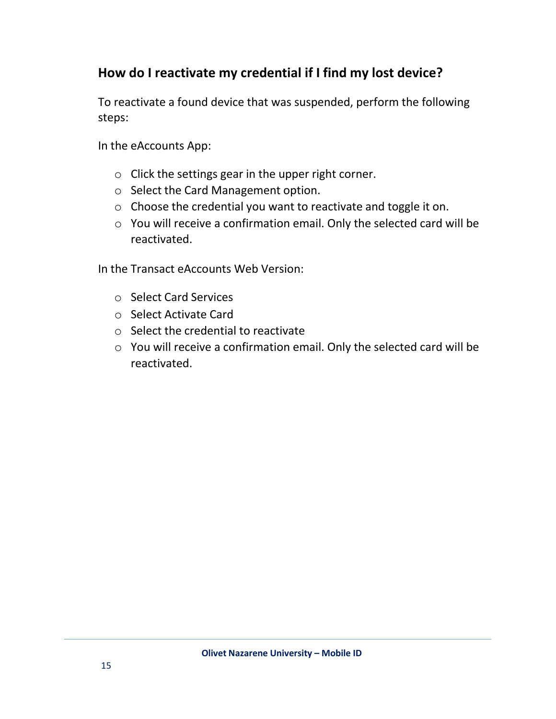#### **How do I reactivate my credential if I find my lost device?**

To reactivate a found device that was suspended, perform the following steps:

In the eAccounts App:

- o Click the settings gear in the upper right corner.
- o Select the Card Management option.
- o Choose the credential you want to reactivate and toggle it on.
- o You will receive a confirmation email. Only the selected card will be reactivated.

In the Transact eAccounts Web Version:

- o Select Card Services
- o Select Activate Card
- o Select the credential to reactivate
- o You will receive a confirmation email. Only the selected card will be reactivated.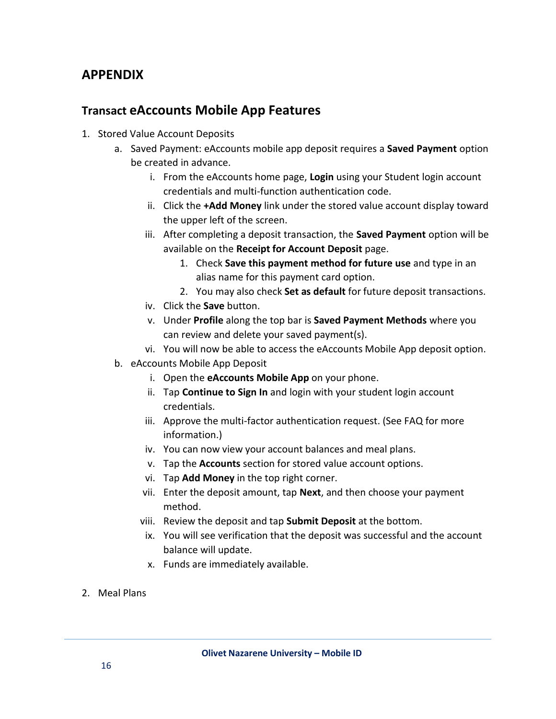#### <span id="page-15-0"></span>**APPENDIX**

#### **Transact eAccounts Mobile App Features**

- 1. Stored Value Account Deposits
	- a. Saved Payment: eAccounts mobile app deposit requires a **Saved Payment** option be created in advance.
		- i. From the eAccounts home page, **Login** using your Student login account credentials and multi-function authentication code.
		- ii. Click the **+Add Money** link under the stored value account display toward the upper left of the screen.
		- iii. After completing a deposit transaction, the **Saved Payment** option will be available on the **Receipt for Account Deposit** page.
			- 1. Check **Save this payment method for future use** and type in an alias name for this payment card option.
			- 2. You may also check **Set as default** for future deposit transactions.
		- iv. Click the **Save** button.
		- v. Under **Profile** along the top bar is **Saved Payment Methods** where you can review and delete your saved payment(s).
		- vi. You will now be able to access the eAccounts Mobile App deposit option.
	- b. eAccounts Mobile App Deposit
		- i. Open the **eAccounts Mobile App** on your phone.
		- ii. Tap **Continue to Sign In** and login with your student login account credentials.
		- iii. Approve the multi-factor authentication request. (See FAQ for more information.)
		- iv. You can now view your account balances and meal plans.
		- v. Tap the **Accounts** section for stored value account options.
		- vi. Tap **Add Money** in the top right corner.
		- vii. Enter the deposit amount, tap **Next**, and then choose your payment method.
		- viii. Review the deposit and tap **Submit Deposit** at the bottom.
		- ix. You will see verification that the deposit was successful and the account balance will update.
		- x. Funds are immediately available.
- 2. Meal Plans